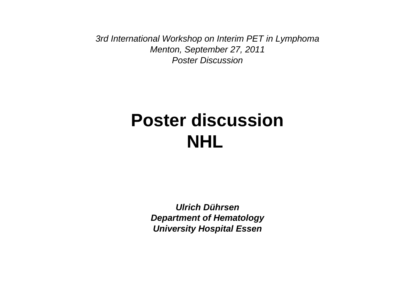3rd International Workshop on Interim PET in LymphomaMenton, September 27, 2011Poster Discussion

#### **Poster discussionNHL**

**Ulrich Dührsen Department of HematologyUniversity Hospital Essen**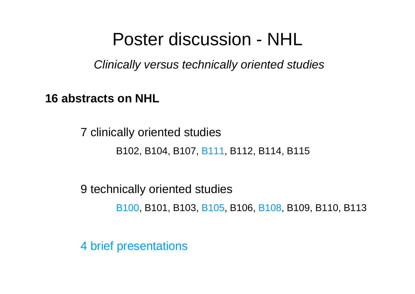#### Poster discussion - NHL

Clinically versus technically oriented studies

**16 abstracts on NHL**

7 clinically oriented studiesB102, B104, B107, B111, B112, B114, B115

9 technically oriented studiesB100, B101, B103, B105, B106, B108, B109, B110, B113

4 brief presentations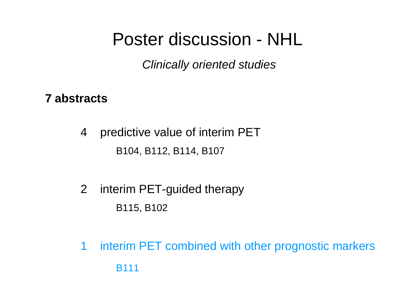# Poster discussion - NHL

Clinically oriented studies

#### **7 abstracts**

4 predictive value of interim PETB104, B112, B114, B107

- 2 interim PET-guided therapyB115, B102
- 1 interim PET combined with other prognostic markersB111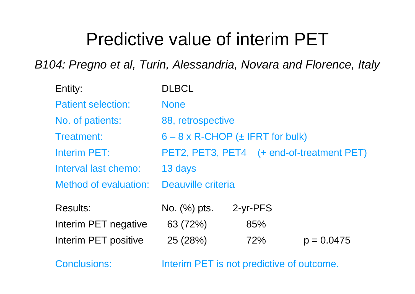B104: Pregno et al, Turin, Alessandria, Novara and Florence, Italy

| Entity:                      | <b>DLBCL</b>                             |            |                                           |
|------------------------------|------------------------------------------|------------|-------------------------------------------|
| <b>Patient selection:</b>    | <b>None</b>                              |            |                                           |
| No. of patients:             | 88, retrospective                        |            |                                           |
| Treatment:                   | $6 - 8 \times R$ -CHOP (± IFRT for bulk) |            |                                           |
| Interim PET:                 |                                          |            | PET2, PET3, PET4 (+ end-of-treatment PET) |
| Interval last chemo:         | 13 days                                  |            |                                           |
| <b>Method of evaluation:</b> | Deauville criteria                       |            |                                           |
| <b>Results:</b>              | No. (%) pts.                             | $2-vr-PFS$ |                                           |
| Interim PET negative         | 63 (72%)                                 | 85%        |                                           |
| Interim PET positive         | 25 (28%)                                 | 72%        | $p = 0.0475$                              |

Conclusions: Interim PET is not predictive of outcome.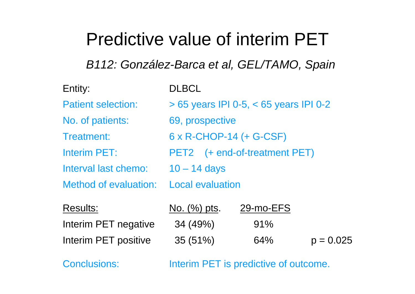B112: González-Barca et al, GEL/TAMO, Spain

| Entity:                   | <b>DLBCL</b>                               |  |
|---------------------------|--------------------------------------------|--|
| <b>Patient selection:</b> | $> 65$ years IPI 0-5, $< 65$ years IPI 0-2 |  |
| No. of patients:          | 69, prospective                            |  |
| Treatment:                | 6 x R-CHOP-14 (+ G-CSF)                    |  |
| <b>Interim PET:</b>       | PET2 (+ end-of-treatment PET)              |  |
| Interval last chemo:      | $10 - 14$ days                             |  |
| Method of evaluation:     | <b>Local evaluation</b>                    |  |
|                           |                                            |  |

| <b>Results:</b>      | No. $(\%)$ pts. | 29-mo-EFS |             |
|----------------------|-----------------|-----------|-------------|
| Interim PET negative | 34 (49%)        | $91\%$    |             |
| Interim PET positive | 35(51%)         | 64%       | $p = 0.025$ |

Conclusions: Interim PET is predictive of outcome.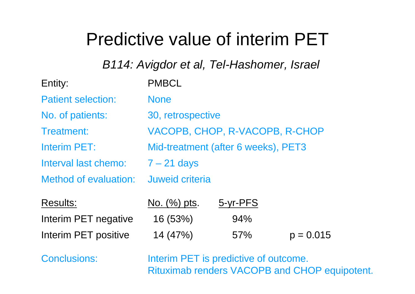B114: Avigdor et al, Tel-Hashomer, Israel

| Entity:                   | <b>PMBCL</b>                        |
|---------------------------|-------------------------------------|
| <b>Patient selection:</b> | <b>None</b>                         |
| No. of patients:          | 30, retrospective                   |
| Treatment:                | VACOPB, CHOP, R-VACOPB, R-CHOP      |
| Interim PET:              | Mid-treatment (after 6 weeks), PET3 |
| Interval last chemo:      | $7 - 21$ days                       |
| Method of evaluation:     | Juweid criteria                     |
|                           |                                     |

| Results:             | <u>No. (%) pts.</u> | 5-yr-PFS |             |
|----------------------|---------------------|----------|-------------|
| Interim PET negative | 16 (53%)            | 94%      |             |
| Interim PET positive | 14(47%)             | 57%      | $p = 0.015$ |

Conclusions: **Interim PET** is predictive of outcome. Rituximab renders VACOPB and CHOP equipotent.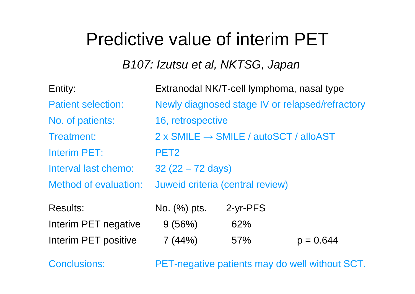B107: Izutsu et al, NKTSG, Japan

| Entity:                      | Extranodal NK/T-cell lymphoma, nasal type                |
|------------------------------|----------------------------------------------------------|
| <b>Patient selection:</b>    | Newly diagnosed stage IV or relapsed/refractory          |
| No. of patients:             | 16, retrospective                                        |
| Treatment:                   | $2 \times$ SMILE $\rightarrow$ SMILE / autoSCT / alloAST |
| Interim PET:                 | PET <sub>2</sub>                                         |
| Interval last chemo:         | $32(22 - 72 \text{ days})$                               |
| <b>Method of evaluation:</b> | Juweid criteria (central review)                         |
|                              |                                                          |

| <b>Results:</b>      | No. $(\%)$ pts. | <u>2-yr-PFS</u> |             |
|----------------------|-----------------|-----------------|-------------|
| Interim PET negative | 9 (56%)         | 62%             |             |
| Interim PET positive | 7(44%)          | 57%             | $p = 0.644$ |

Conclusions: PET-negative patients may do well without SCT.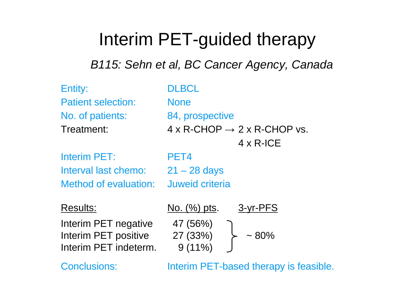# Interim PET-guided therapy

B115: Sehn et al, BC Cancer Agency, Canada

| Entity:<br><b>Patient selection:</b><br>No. of patients:<br>Treatment:                   | <b>DLBCL</b><br><b>None</b><br>84, prospective<br>$4 \times R$ -CHOP $\rightarrow 2 \times R$ -CHOP vs.<br>$4 \times R$ -ICE |
|------------------------------------------------------------------------------------------|------------------------------------------------------------------------------------------------------------------------------|
| <b>Interim PET:</b><br>Interval last chemo:<br>Method of evaluation:                     | PET4<br>$21 - 28$ days<br>Juweid criteria                                                                                    |
| <b>Results:</b><br>Interim PET negative<br>Interim PET positive<br>Interim PET indeterm. | 3-yr-PFS<br>No. (%) pts.<br>47 (56%)<br>27 (33%)<br>$~1.80\%$<br>$9(11\%)$                                                   |

Conclusions: Interim PET-based therapy is feasible.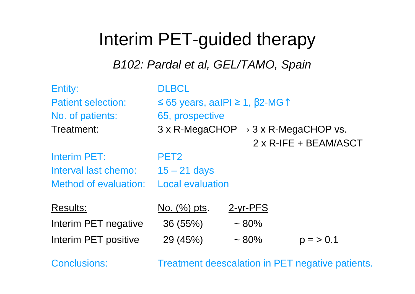# Interim PET-guided therapy

B102: Pardal et al, GEL/TAMO, Spain

| Entity:                   | <b>DLBCL</b>            |                                                               |                       |
|---------------------------|-------------------------|---------------------------------------------------------------|-----------------------|
| <b>Patient selection:</b> |                         | ≤ 65 years, aalPl ≥ 1, $\beta$ 2-MG $\uparrow$                |                       |
| No. of patients:          | 65, prospective         |                                                               |                       |
| Treatment:                |                         | $3 \times R$ -MegaCHOP $\rightarrow 3 \times R$ -MegaCHOP vs. |                       |
|                           |                         |                                                               | 2 x R-IFE + BEAM/ASCT |
| Interim PET:              | PET <sub>2</sub>        |                                                               |                       |
| Interval last chemo:      | $15 - 21$ days          |                                                               |                       |
| Method of evaluation:     | <b>Local evaluation</b> |                                                               |                       |
| <b>Results:</b>           | No. (%) pts.            | $2$ -yr-PFS                                                   |                       |
| Interim PET negative      | 36(55%)                 | $~1.80\%$                                                     |                       |
| Interim PET positive      | 29 (45%)                | $~1.80\%$                                                     | $p = 50.1$            |
|                           |                         |                                                               |                       |

Conclusions: Treatment deescalation in PET negative patients.